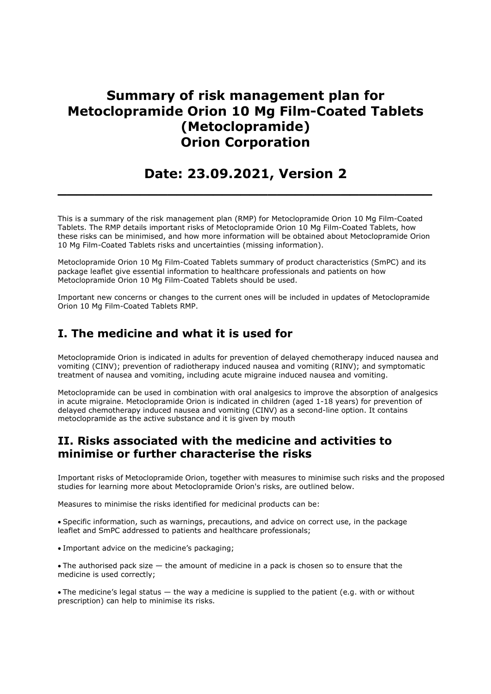# Summary of risk management plan for Metoclopramide Orion 10 Mg Film-Coated Tablets (Metoclopramide) Orion Corporation

# Date: 23.09.2021, Version 2

 $\_$  , and the set of the set of the set of the set of the set of the set of the set of the set of the set of the set of the set of the set of the set of the set of the set of the set of the set of the set of the set of th

This is a summary of the risk management plan (RMP) for Metoclopramide Orion 10 Mg Film-Coated Tablets. The RMP details important risks of Metoclopramide Orion 10 Mg Film-Coated Tablets, how these risks can be minimised, and how more information will be obtained about Metoclopramide Orion 10 Mg Film-Coated Tablets risks and uncertainties (missing information).

Metoclopramide Orion 10 Mg Film-Coated Tablets summary of product characteristics (SmPC) and its package leaflet give essential information to healthcare professionals and patients on how Metoclopramide Orion 10 Mg Film-Coated Tablets should be used.

Important new concerns or changes to the current ones will be included in updates of Metoclopramide Orion 10 Mg Film-Coated Tablets RMP.

## I. The medicine and what it is used for

Metoclopramide Orion is indicated in adults for prevention of delayed chemotherapy induced nausea and vomiting (CINV); prevention of radiotherapy induced nausea and vomiting (RINV); and symptomatic treatment of nausea and vomiting, including acute migraine induced nausea and vomiting.

Metoclopramide can be used in combination with oral analgesics to improve the absorption of analgesics in acute migraine. Metoclopramide Orion is indicated in children (aged 1-18 years) for prevention of delayed chemotherapy induced nausea and vomiting (CINV) as a second-line option. It contains metoclopramide as the active substance and it is given by mouth

### II. Risks associated with the medicine and activities to minimise or further characterise the risks

Important risks of Metoclopramide Orion, together with measures to minimise such risks and the proposed studies for learning more about Metoclopramide Orion's risks, are outlined below.

Measures to minimise the risks identified for medicinal products can be:

Specific information, such as warnings, precautions, and advice on correct use, in the package leaflet and SmPC addressed to patients and healthcare professionals;

Important advice on the medicine's packaging;

The authorised pack size — the amount of medicine in a pack is chosen so to ensure that the medicine is used correctly;

The medicine's legal status — the way a medicine is supplied to the patient (e.g. with or without prescription) can help to minimise its risks.